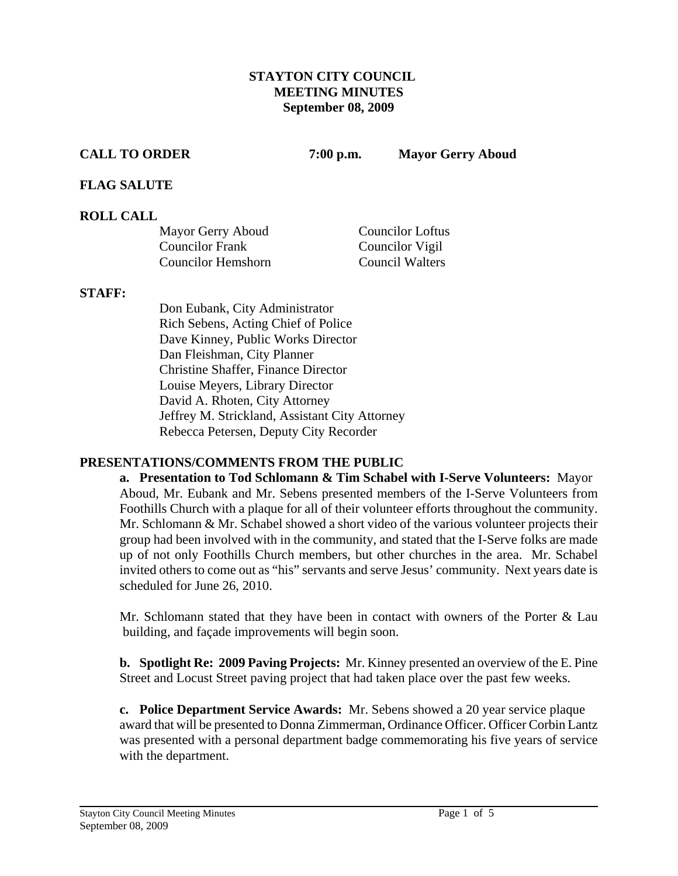### **STAYTON CITY COUNCIL MEETING MINUTES September 08, 2009**

**CALL TO ORDER 7:00 p.m. Mayor Gerry Aboud** 

## **FLAG SALUTE**

## **ROLL CALL**

| Mayor Gerry Aboud         | <b>Councilor Loftus</b> |
|---------------------------|-------------------------|
| <b>Councilor Frank</b>    | Councilor Vigil         |
| <b>Councilor Hemshorn</b> | <b>Council Walters</b>  |

#### **STAFF:**

Don Eubank, City Administrator Rich Sebens, Acting Chief of Police Dave Kinney, Public Works Director Dan Fleishman, City Planner Christine Shaffer, Finance Director Louise Meyers, Library Director David A. Rhoten, City Attorney Jeffrey M. Strickland, Assistant City Attorney Rebecca Petersen, Deputy City Recorder

## **PRESENTATIONS/COMMENTS FROM THE PUBLIC**

**a. Presentation to Tod Schlomann & Tim Schabel with I-Serve Volunteers:** Mayor Aboud, Mr. Eubank and Mr. Sebens presented members of the I-Serve Volunteers from Foothills Church with a plaque for all of their volunteer efforts throughout the community. Mr. Schlomann & Mr. Schabel showed a short video of the various volunteer projects their group had been involved with in the community, and stated that the I-Serve folks are made up of not only Foothills Church members, but other churches in the area. Mr. Schabel invited others to come out as "his" servants and serve Jesus' community. Next years date is scheduled for June 26, 2010.

Mr. Schlomann stated that they have been in contact with owners of the Porter  $\&$  Lau building, and façade improvements will begin soon.

**b. Spotlight Re: 2009 Paving Projects:** Mr. Kinney presented an overview of the E. Pine Street and Locust Street paving project that had taken place over the past few weeks.

**c. Police Department Service Awards:** Mr. Sebens showed a 20 year service plaque award that will be presented to Donna Zimmerman, Ordinance Officer. Officer Corbin Lantz was presented with a personal department badge commemorating his five years of service with the department.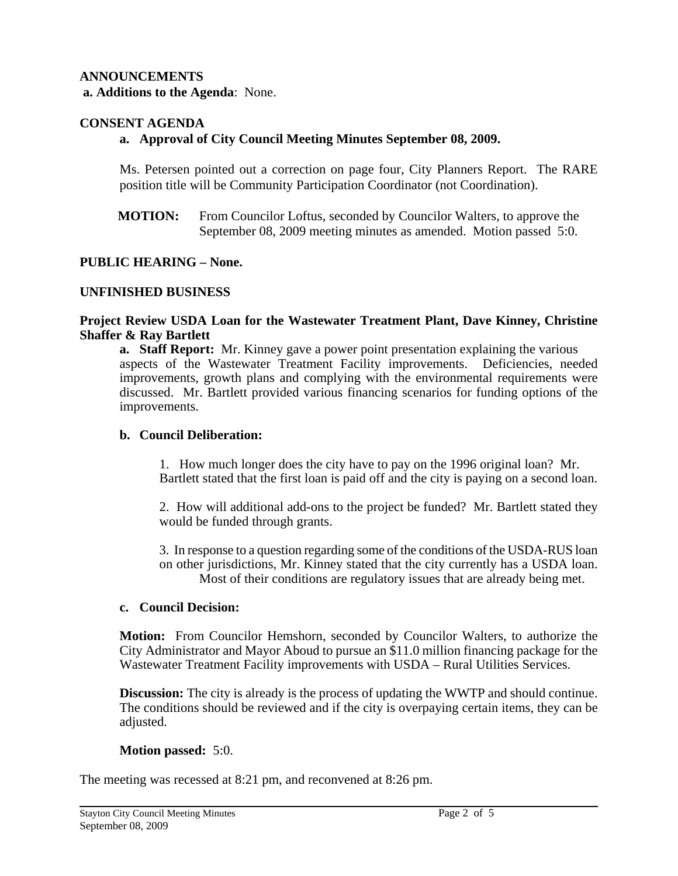# **ANNOUNCEMENTS**

 **a. Additions to the Agenda**: None.

## **CONSENT AGENDA**

## **a. Approval of City Council Meeting Minutes September 08, 2009.**

 Ms. Petersen pointed out a correction on page four, City Planners Report. The RARE position title will be Community Participation Coordinator (not Coordination).

**MOTION:** From Councilor Loftus, seconded by Councilor Walters, to approve the September 08, 2009 meeting minutes as amended. Motion passed 5:0.

## **PUBLIC HEARING – None.**

### **UNFINISHED BUSINESS**

#### **Project Review USDA Loan for the Wastewater Treatment Plant, Dave Kinney, Christine Shaffer & Ray Bartlett**

**a. Staff Report:** Mr. Kinney gave a power point presentation explaining the various aspects of the Wastewater Treatment Facility improvements. Deficiencies, needed improvements, growth plans and complying with the environmental requirements were discussed. Mr. Bartlett provided various financing scenarios for funding options of the improvements.

#### **b. Council Deliberation:**

1. How much longer does the city have to pay on the 1996 original loan? Mr. Bartlett stated that the first loan is paid off and the city is paying on a second loan.

2. How will additional add-ons to the project be funded? Mr. Bartlett stated they would be funded through grants.

 3. In response to a question regarding some of the conditions of the USDA-RUS loan on other jurisdictions, Mr. Kinney stated that the city currently has a USDA loan. Most of their conditions are regulatory issues that are already being met.

#### **c. Council Decision:**

 **Motion:** From Councilor Hemshorn, seconded by Councilor Walters, to authorize the City Administrator and Mayor Aboud to pursue an \$11.0 million financing package for the Wastewater Treatment Facility improvements with USDA – Rural Utilities Services.

**Discussion:** The city is already is the process of updating the WWTP and should continue. The conditions should be reviewed and if the city is overpaying certain items, they can be adjusted.

#### **Motion passed:** 5:0.

The meeting was recessed at 8:21 pm, and reconvened at 8:26 pm.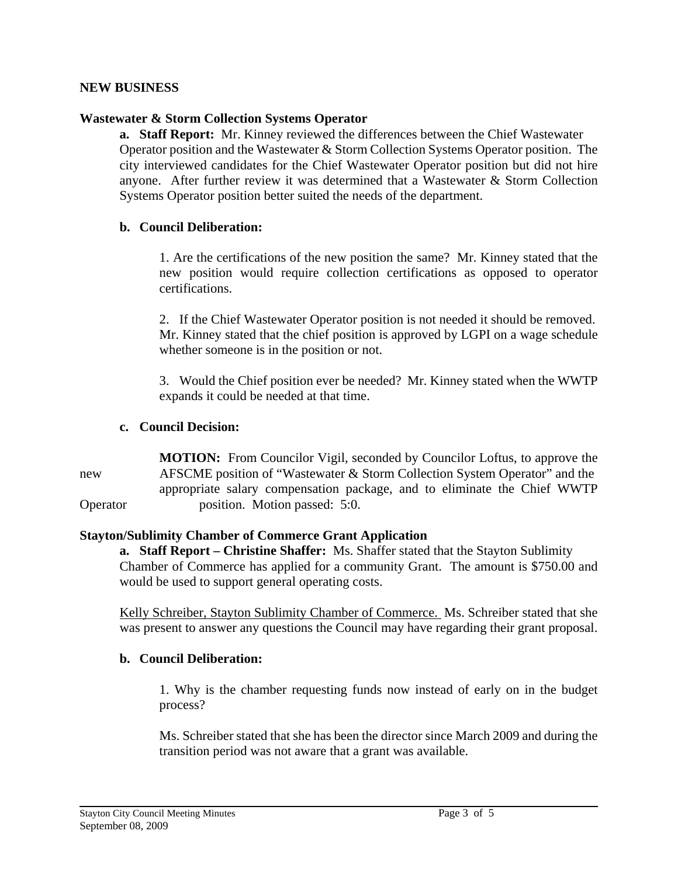## **NEW BUSINESS**

#### **Wastewater & Storm Collection Systems Operator**

**a. Staff Report:** Mr. Kinney reviewed the differences between the Chief Wastewater Operator position and the Wastewater & Storm Collection Systems Operator position. The city interviewed candidates for the Chief Wastewater Operator position but did not hire anyone. After further review it was determined that a Wastewater & Storm Collection Systems Operator position better suited the needs of the department.

#### **b. Council Deliberation:**

1. Are the certifications of the new position the same? Mr. Kinney stated that the new position would require collection certifications as opposed to operator certifications.

2. If the Chief Wastewater Operator position is not needed it should be removed. Mr. Kinney stated that the chief position is approved by LGPI on a wage schedule whether someone is in the position or not.

3. Would the Chief position ever be needed? Mr. Kinney stated when the WWTP expands it could be needed at that time.

#### **c. Council Decision:**

 **MOTION:** From Councilor Vigil, seconded by Councilor Loftus, to approve the new AFSCME position of "Wastewater & Storm Collection System Operator" and the appropriate salary compensation package, and to eliminate the Chief WWTP Operator position. Motion passed: 5:0.

## **Stayton/Sublimity Chamber of Commerce Grant Application**

**a. Staff Report – Christine Shaffer:** Ms. Shaffer stated that the Stayton Sublimity Chamber of Commerce has applied for a community Grant. The amount is \$750.00 and would be used to support general operating costs.

Kelly Schreiber, Stayton Sublimity Chamber of Commerce. Ms. Schreiber stated that she was present to answer any questions the Council may have regarding their grant proposal.

## **b. Council Deliberation:**

1. Why is the chamber requesting funds now instead of early on in the budget process?

 Ms. Schreiber stated that she has been the director since March 2009 and during the transition period was not aware that a grant was available.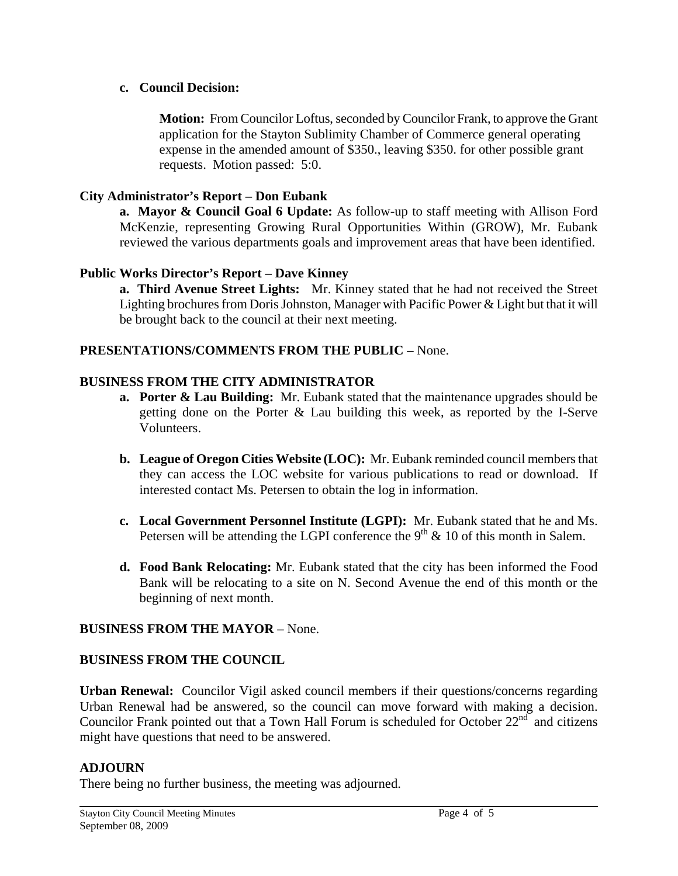## **c. Council Decision:**

 **Motion:** From Councilor Loftus, seconded by Councilor Frank, to approve the Grant application for the Stayton Sublimity Chamber of Commerce general operating expense in the amended amount of \$350., leaving \$350. for other possible grant requests. Motion passed: 5:0.

## **City Administrator's Report – Don Eubank**

 **a. Mayor & Council Goal 6 Update:** As follow-up to staff meeting with Allison Ford McKenzie, representing Growing Rural Opportunities Within (GROW), Mr. Eubank reviewed the various departments goals and improvement areas that have been identified.

## **Public Works Director's Report – Dave Kinney**

 **a. Third Avenue Street Lights:** Mr. Kinney stated that he had not received the Street Lighting brochures from Doris Johnston, Manager with Pacific Power & Light but that it will be brought back to the council at their next meeting.

## **PRESENTATIONS/COMMENTS FROM THE PUBLIC –** None.

## **BUSINESS FROM THE CITY ADMINISTRATOR**

- **a. Porter & Lau Building:** Mr. Eubank stated that the maintenance upgrades should be getting done on the Porter & Lau building this week, as reported by the I-Serve Volunteers.
- **b. League of Oregon Cities Website (LOC):** Mr. Eubank reminded council members that they can access the LOC website for various publications to read or download. If interested contact Ms. Petersen to obtain the log in information.
- **c. Local Government Personnel Institute (LGPI):** Mr. Eubank stated that he and Ms. Petersen will be attending the LGPI conference the  $9<sup>th</sup>$  & 10 of this month in Salem.
- **d. Food Bank Relocating:** Mr. Eubank stated that the city has been informed the Food Bank will be relocating to a site on N. Second Avenue the end of this month or the beginning of next month.

## **BUSINESS FROM THE MAYOR** – None.

## **BUSINESS FROM THE COUNCIL**

**Urban Renewal:** Councilor Vigil asked council members if their questions/concerns regarding Urban Renewal had be answered, so the council can move forward with making a decision. Councilor Frank pointed out that a Town Hall Forum is scheduled for October  $22^{nd}$  and citizens might have questions that need to be answered.

## **ADJOURN**

There being no further business, the meeting was adjourned.